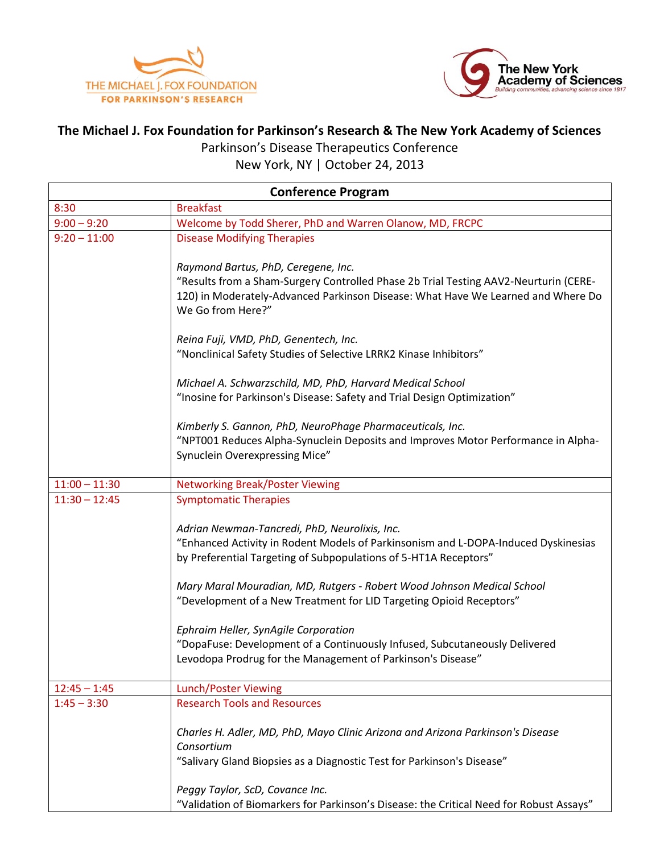



## **The Michael J. Fox Foundation for Parkinson's Research & The New York Academy of Sciences** Parkinson's Disease Therapeutics Conference

New York, NY | October 24, 2013

| <b>Conference Program</b> |                                                                                                                                                                                                                                                                                                                                                          |
|---------------------------|----------------------------------------------------------------------------------------------------------------------------------------------------------------------------------------------------------------------------------------------------------------------------------------------------------------------------------------------------------|
| 8:30                      | <b>Breakfast</b>                                                                                                                                                                                                                                                                                                                                         |
| $9:00 - 9:20$             | Welcome by Todd Sherer, PhD and Warren Olanow, MD, FRCPC                                                                                                                                                                                                                                                                                                 |
| $9:20 - 11:00$            | <b>Disease Modifying Therapies</b>                                                                                                                                                                                                                                                                                                                       |
|                           | Raymond Bartus, PhD, Ceregene, Inc.<br>"Results from a Sham-Surgery Controlled Phase 2b Trial Testing AAV2-Neurturin (CERE-<br>120) in Moderately-Advanced Parkinson Disease: What Have We Learned and Where Do<br>We Go from Here?"                                                                                                                     |
|                           | Reina Fuji, VMD, PhD, Genentech, Inc.<br>"Nonclinical Safety Studies of Selective LRRK2 Kinase Inhibitors"                                                                                                                                                                                                                                               |
|                           | Michael A. Schwarzschild, MD, PhD, Harvard Medical School<br>"Inosine for Parkinson's Disease: Safety and Trial Design Optimization"                                                                                                                                                                                                                     |
|                           | Kimberly S. Gannon, PhD, NeuroPhage Pharmaceuticals, Inc.<br>"NPT001 Reduces Alpha-Synuclein Deposits and Improves Motor Performance in Alpha-<br>Synuclein Overexpressing Mice"                                                                                                                                                                         |
| $11:00 - 11:30$           | <b>Networking Break/Poster Viewing</b>                                                                                                                                                                                                                                                                                                                   |
| $11:30 - 12:45$           | <b>Symptomatic Therapies</b>                                                                                                                                                                                                                                                                                                                             |
|                           | Adrian Newman-Tancredi, PhD, Neurolixis, Inc.<br>"Enhanced Activity in Rodent Models of Parkinsonism and L-DOPA-Induced Dyskinesias<br>by Preferential Targeting of Subpopulations of 5-HT1A Receptors"<br>Mary Maral Mouradian, MD, Rutgers - Robert Wood Johnson Medical School<br>"Development of a New Treatment for LID Targeting Opioid Receptors" |
|                           | Ephraim Heller, SynAgile Corporation<br>"DopaFuse: Development of a Continuously Infused, Subcutaneously Delivered<br>Levodopa Prodrug for the Management of Parkinson's Disease"                                                                                                                                                                        |
| $12:45 - 1:45$            | <b>Lunch/Poster Viewing</b>                                                                                                                                                                                                                                                                                                                              |
| $1:45 - 3:30$             | <b>Research Tools and Resources</b>                                                                                                                                                                                                                                                                                                                      |
|                           | Charles H. Adler, MD, PhD, Mayo Clinic Arizona and Arizona Parkinson's Disease<br>Consortium<br>"Salivary Gland Biopsies as a Diagnostic Test for Parkinson's Disease"                                                                                                                                                                                   |
|                           | Peggy Taylor, ScD, Covance Inc.<br>"Validation of Biomarkers for Parkinson's Disease: the Critical Need for Robust Assays"                                                                                                                                                                                                                               |